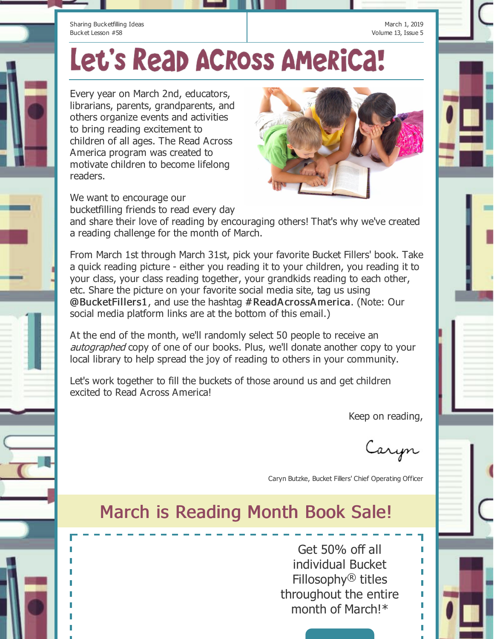Sharing Bucketfilling Ideas Bucket Lesson #58

March 1, 2019 Volume 13, Issue 5

## Let's Reap ACROSS AMeRiCa!

Every year on March 2nd, educators, librarians, parents, grandparents, and others organize events and activities to bring reading excitement to children of all ages. The Read Across America program was created to motivate children to become lifelong readers.



We want to encourage our bucketfilling friends to read every day

and share their love of reading by encouraging others! That's why we've created a reading challenge for the month of March.

From March 1st through March 31st, pick your favorite Bucket Fillers' book. Take a quick reading picture - either you reading it to your children, you reading it to your class, your class reading together, your grandkids reading to each other, etc. Share the picture on your favorite social media site, tag us using @BucketFillers1, and use the hashtag #ReadA crossA merica. (Note: Our social media platform links are at the bottom of this email.)

At the end of the month, we'll randomly select 50 people to receive an autographed copy of one of our books. Plus, we'll donate another copy to your local library to help spread the joy of reading to others in your community.

Let's work together to fill the buckets of those around us and get children excited to Read Across America!

Keep on reading,

Caryn

Caryn Butzke, Bucket Fillers' Chief Operating Officer

## March is Reading Month Book Sale!

Get 50% off all individual Bucket Fillosophy® titles throughout the entire month of March!\*